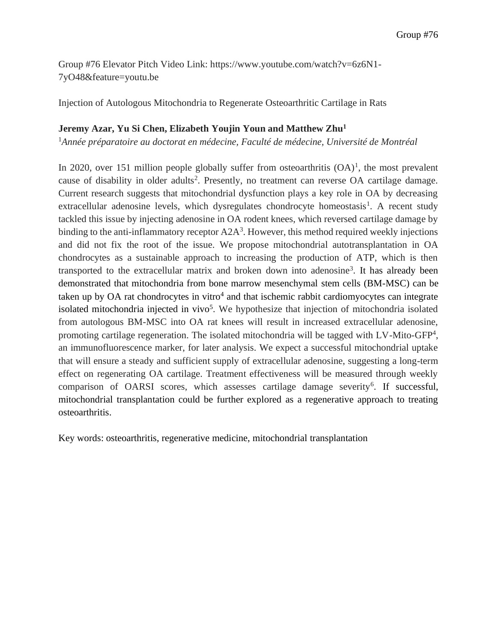Group #76 Elevator Pitch Video Link: https://www.youtube.com/watch?v=6z6N1- 7yO48&feature=youtu.be

Injection of Autologous Mitochondria to Regenerate Osteoarthritic Cartilage in Rats

## **Jeremy Azar, Yu Si Chen, Elizabeth Youjin Youn and Matthew Zhu<sup>1</sup>**

<sup>1</sup>*Année préparatoire au doctorat en médecine, Faculté de médecine, Université de Montréal*

In 2020, over 151 million people globally suffer from osteoarthritis  $(OA)^1$ , the most prevalent cause of disability in older adults<sup>2</sup>. Presently, no treatment can reverse OA cartilage damage. Current research suggests that mitochondrial dysfunction plays a key role in OA by decreasing extracellular adenosine levels, which dysregulates chondrocyte homeostasis<sup>1</sup>. A recent study tackled this issue by injecting adenosine in OA rodent knees, which reversed cartilage damage by binding to the anti-inflammatory receptor  $A2A<sup>3</sup>$ . However, this method required weekly injections and did not fix the root of the issue. We propose mitochondrial autotransplantation in OA chondrocytes as a sustainable approach to increasing the production of ATP, which is then transported to the extracellular matrix and broken down into adenosine<sup>3</sup>. It has already been demonstrated that mitochondria from bone marrow mesenchymal stem cells (BM-MSC) can be taken up by OA rat chondrocytes in vitro $4$  and that ischemic rabbit cardiomyocytes can integrate isolated mitochondria injected in vivo<sup>5</sup>. We hypothesize that injection of mitochondria isolated from autologous BM-MSC into OA rat knees will result in increased extracellular adenosine, promoting cartilage regeneration. The isolated mitochondria will be tagged with LV-Mito-GFP<sup>4</sup>, an immunofluorescence marker, for later analysis. We expect a successful mitochondrial uptake that will ensure a steady and sufficient supply of extracellular adenosine, suggesting a long-term effect on regenerating OA cartilage. Treatment effectiveness will be measured through weekly comparison of OARSI scores, which assesses cartilage damage severity<sup>6</sup>. If successful, mitochondrial transplantation could be further explored as a regenerative approach to treating osteoarthritis.

Key words: osteoarthritis, regenerative medicine, mitochondrial transplantation